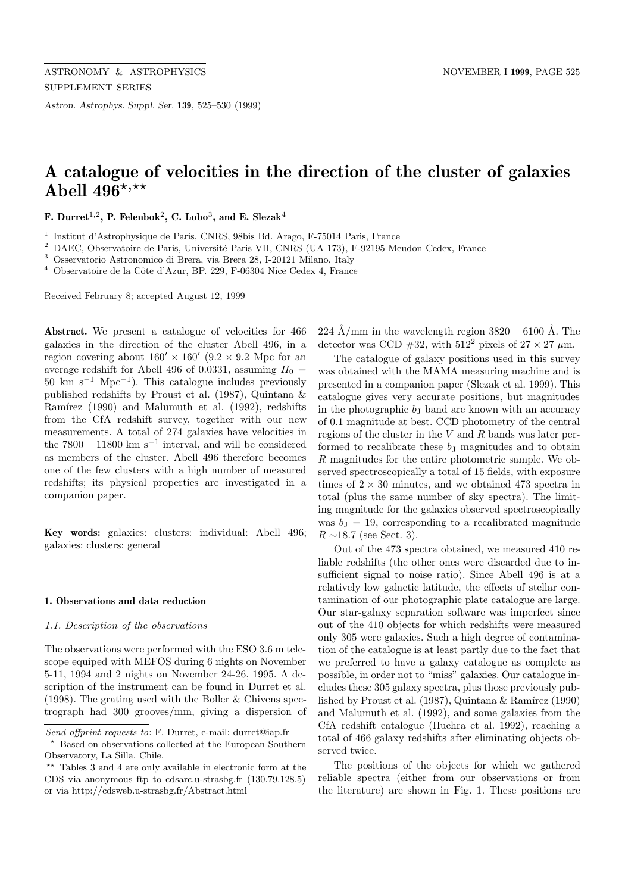*Astron. Astrophys. Suppl. Ser.* **139**, 525–530 (1999)

# **A catalogue of velocities in the direction of the cluster of galaxies** Abell 496<sup>\*,\*\*</sup>

**F. Durret**<sup>1</sup>,<sup>2</sup>**, P. Felenbok**<sup>2</sup>**, C. Lobo**<sup>3</sup>**, and E. Slezak**<sup>4</sup>

 $^{\rm 1}$ Institut d'Astrophysique de Paris, CNRS, 98bis Bd. Arago, F-75014 Paris, France

<sup>2</sup> DAEC, Observatoire de Paris, Université Paris VII, CNRS (UA 173), F-92195 Meudon Cedex, France

<sup>3</sup> Osservatorio Astronomico di Brera, via Brera 28, I-20121 Milano, Italy

 $4$  Observatoire de la Côte d'Azur, BP. 229, F-06304 Nice Cedex 4, France

Received February 8; accepted August 12, 1999

Abstract. We present a catalogue of velocities for  $466$ galaxies in the direction of the cluster Abell 496, in a region covering about  $160' \times 160'$  (9.2 × 9.2 Mpc for an average redshift for Abell 496 of 0.0331, assuming  $H_0 =$  $50 \text{ km s}^{-1} \text{ Mpc}^{-1}$ ). This catalogue includes previously published redshifts by Proust et al. (1987), Quintana & Ramírez (1990) and Malumuth et al. (1992), redshifts from the CfA redshift survey, together with our new measurements. A total of 274 galaxies have velocities in the  $7800 - 11800$  km s<sup>-1</sup> interval, and will be considered as members of the cluster. Abell 496 therefore becomes one of the few clusters with a high number of measured redshifts; its physical properties are investigated in a companion paper.

**Key words:** galaxies: clusters: individual: Abell 496; galaxies: clusters: general

# **1. Observations and data reduction**

# 1.1. Description of the observations

The observations were performed with the ESO 3.6 m telescope equiped with MEFOS during 6 nights on November 5-11, 1994 and 2 nights on November 24-26, 1995. A description of the instrument can be found in Durret et al. (1998). The grating used with the Boller & Chivens spectrograph had 300 grooves/mm, giving a dispersion of 224 Å/mm in the wavelength region  $3820 - 6100$  Å. The detector was CCD #32, with  $512^2$  pixels of  $27 \times 27 \mu$ m.

The catalogue of galaxy positions used in this survey was obtained with the MAMA measuring machine and is presented in a companion paper (Slezak et al. 1999). This catalogue gives very accurate positions, but magnitudes in the photographic  $b<sub>J</sub>$  band are known with an accuracy of 0.1 magnitude at best. CCD photometry of the central regions of the cluster in the V and R bands was later performed to recalibrate these  $b<sub>J</sub>$  magnitudes and to obtain R magnitudes for the entire photometric sample. We observed spectroscopically a total of 15 fields, with exposure times of  $2 \times 30$  minutes, and we obtained 473 spectra in total (plus the same number of sky spectra). The limiting magnitude for the galaxies observed spectroscopically was  $b<sub>J</sub> = 19$ , corresponding to a recalibrated magnitude  $R \sim 18.7$  (see Sect. 3).

Out of the 473 spectra obtained, we measured 410 reliable redshifts (the other ones were discarded due to insufficient signal to noise ratio). Since Abell 496 is at a relatively low galactic latitude, the effects of stellar contamination of our photographic plate catalogue are large. Our star-galaxy separation software was imperfect since out of the 410 objects for which redshifts were measured only 305 were galaxies. Such a high degree of contamination of the catalogue is at least partly due to the fact that we preferred to have a galaxy catalogue as complete as possible, in order not to "miss" galaxies. Our catalogue includes these 305 galaxy spectra, plus those previously published by Proust et al. (1987), Quintana  $\&$  Ramírez (1990) and Malumuth et al. (1992), and some galaxies from the CfA redshift catalogue (Huchra et al. 1992), reaching a total of 466 galaxy redshifts after eliminating objects observed twice.

The positions of the objects for which we gathered reliable spectra (either from our observations or from the literature) are shown in Fig. 1. These positions are

Send offprint requests to: F. Durret, e-mail: durret@iap.fr

<sup>?</sup> Based on observations collected at the European Southern Observatory, La Silla, Chile.

<sup>\*\*</sup> Tables 3 and 4 are only available in electronic form at the CDS via anonymous ftp to cdsarc.u-strasbg.fr (130.79.128.5) or via http://cdsweb.u-strasbg.fr/Abstract.html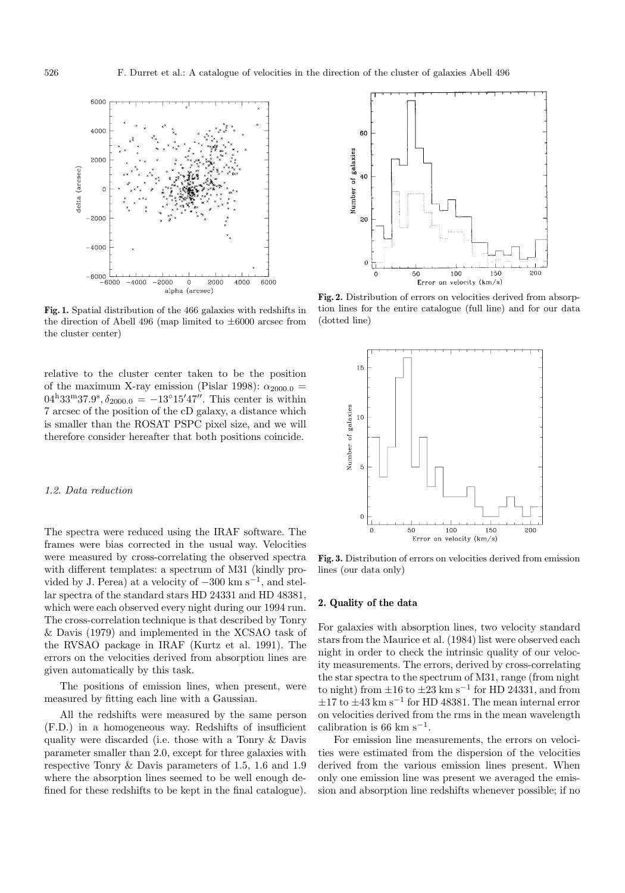

**Fig. 1.** Spatial distribution of the 466 galaxies with redshifts in the direction of Abell 496 (map limited to  $\pm 6000$  arcsec from the cluster center)

relative to the cluster center taken to be the position of the maximum X-ray emission (Pislar 1998):  $\alpha_{2000.0}$  =  $04^{\text{h}}33^{\text{m}}37.9^{\text{s}}, \delta_{2000.0} = -13^{\circ}15'47''.$  This center is within 7 arcsec of the position of the cD galaxy, a distance which is smaller than the ROSAT PSPC pixel size, and we will therefore consider hereafter that both positions coincide.

#### 1.2. Data reduction

The spectra were reduced using the IRAF software. The frames were bias corrected in the usual way. Velocities were measured by cross-correlating the observed spectra with different templates: a spectrum of M31 (kindly provided by J. Perea) at a velocity of  $-300 \text{ km s}^{-1}$ , and stellar spectra of the standard stars HD 24331 and HD 48381, which were each observed every night during our 1994 run. The cross-correlation technique is that described by Tonry & Davis (1979) and implemented in the XCSAO task of the RVSAO package in IRAF (Kurtz et al. 1991). The errors on the velocities derived from absorption lines are given automatically by this task.

The positions of emission lines, when present, were measured by fitting each line with a Gaussian.

All the redshifts were measured by the same person (F.D.) in a homogeneous way. Redshifts of insufficient quality were discarded (i.e. those with a Tonry & Davis parameter smaller than 2.0, except for three galaxies with respective Tonry & Davis parameters of 1.5, 1.6 and 1.9 where the absorption lines seemed to be well enough defined for these redshifts to be kept in the final catalogue).



**Fig. 2.** Distribution of errors on velocities derived from absorption lines for the entire catalogue (full line) and for our data (dotted line)



**Fig. 3.** Distribution of errors on velocities derived from emission lines (our data only)

#### **2. Quality of the data**

For galaxies with absorption lines, two velocity standard stars from the Maurice et al. (1984) list were observed each night in order to check the intrinsic quality of our velocity measurements. The errors, derived by cross-correlating the star spectra to the spectrum of M31, range (from night to night) from  $\pm 16$  to  $\pm 23$  km s<sup>-1</sup> for HD 24331, and from  $\pm 17$  to  $\pm 43$  km s<sup>-1</sup> for HD 48381. The mean internal error on velocities derived from the rms in the mean wavelength calibration is 66 km s<sup> $-1$ </sup>.

For emission line measurements, the errors on velocities were estimated from the dispersion of the velocities derived from the various emission lines present. When only one emission line was present we averaged the emission and absorption line redshifts whenever possible; if no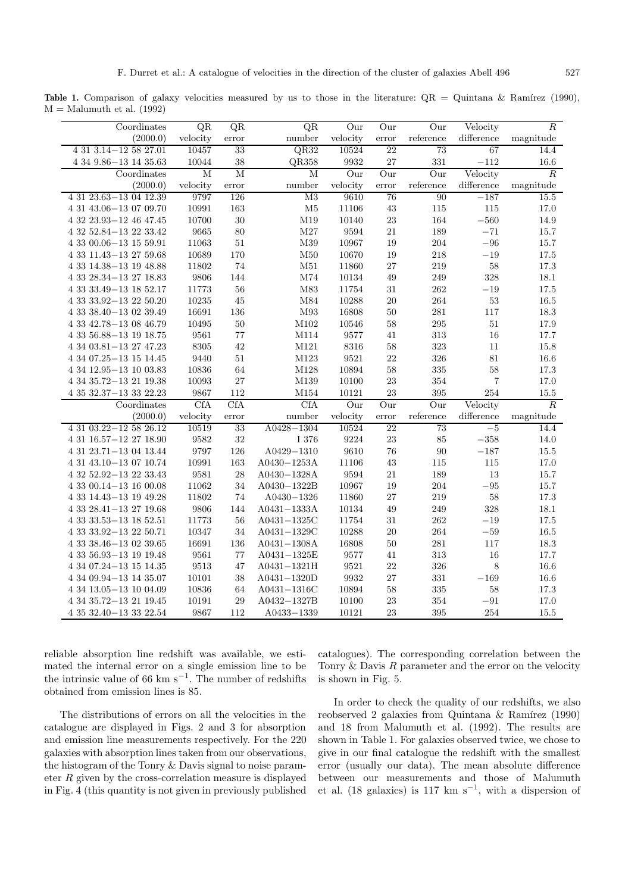**Table 1.** Comparison of galaxy velocities measured by us to those in the literature:  $QR = Quintana & Ramírez (1990)$ ,  $M =$ Malumuth et al. (1992)

| Coordinates                    | QR       | QR         | QR                      | Our       | Our    | Our         | Velocity       | $\overline{R}$ |
|--------------------------------|----------|------------|-------------------------|-----------|--------|-------------|----------------|----------------|
| (2000.0)                       | velocity | error      | number                  | velocity  | error  | reference   | difference     | magnitude      |
| $4\ 31\ 3.14 - 12\ 58\ 27.01$  | 10457    | 33         | QR32                    | 10524     | 22     | 73          | 67             | 14.4           |
| $4349.86 - 131435.63$          | 10044    | 38         | QR358                   | 9932      | 27     | 331         | $-112$         | $16.6\,$       |
| Coordinates                    | M        | M          | $\overline{\mathbf{M}}$ | Our       | Our    | Our         | Velocity       | $\overline{R}$ |
| (2000.0)                       | velocity | error      | number                  | velocity  | error  | reference   | difference     | magnitude      |
| 4 31 23.63-13 04 12.39         | 9797     | 126        | M3                      | 9610      | 76     | 90          | $-187$         | 15.5           |
| 4 31 43.06-13 07 09.70         | 10991    | 163        | M5                      | 11106     | 43     | 115         | 115            | 17.0           |
| 4 32 23.93-12 46 47.45         | 10700    | 30         | M19                     | 10140     | 23     | 164         | $-560$         | 14.9           |
| 4 32 52.84 - 13 22 33.42       | 9665     | 80         | $\rm M27$               | 9594      | $21\,$ | 189         | $-71$          | $15.7\,$       |
| $43300.06 - 131559.91$         | 11063    | $51\,$     | M39                     | 10967     | 19     | 204         | $-96\,$        | 15.7           |
| 4 33 11.43 - 13 27 59.68       | 10689    | 170        | $\rm M50$               | 10670     | 19     | 218         | $-19\,$        | $17.5\,$       |
| 4 33 14.38 - 13 19 48.88       | 11802    | 74         | $\rm M51$               | 11860     | 27     | 219         | $58\,$         | $17.3\,$       |
| 4 33 28.34 - 13 27 18.83       | 9806     | 144        | $\rm M74$               | $10134\,$ | 49     | 249         | 328            | 18.1           |
| 4 33 33.49 - 13 18 52.17       | 11773    | 56         | $\rm M83$               | 11754     | 31     | 262         | $-19$          | 17.5           |
| $43333.92 - 132250.20$         | 10235    | 45         | M84                     | 10288     | 20     | 264         | $53\,$         | 16.5           |
| $4\,33\,38.40 - 13\,02\,39.49$ | 16691    | 136        | $\rm M93$               | 16808     | $50\,$ | 281         | 117            | $18.3\,$       |
| 4 33 42.78 - 13 08 46.79       | 10495    | 50         | M102                    | $10546\,$ | $58\,$ | $\,295$     | $51\,$         | 17.9           |
| $4\ 33\ 56.88{-}13\ 19\ 18.75$ | 9561     | 77         | $\rm M114$              | 9577      | 41     | 313         | 16             | 17.7           |
| $4\ 34\ 03.81{-}13\ 27\ 47.23$ | 8305     | 42         | $\rm M121$              | 8316      | $58\,$ | 323         | 11             | 15.8           |
| $4\ 34\ 07.25{-13}\ 15\ 14.45$ | 9440     | $51\,$     | $\rm M123$              | 9521      | $22\,$ | 326         | $81\,$         | $16.6\,$       |
| 4 34 12.95-13 10 03.83         | 10836    | 64         | M128                    | 10894     | 58     | 335         | 58             | 17.3           |
| 4 34 35.72-13 21 19.38         | 10093    | 27         | M139                    | 10100     | $23\,$ | 354         | $\overline{7}$ | 17.0           |
| $4\,35\,32.37{-}13\,33\,22.23$ | 9867     | 112        | $\rm M154$              | 10121     | $23\,$ | 395         | 254            | $15.5\,$       |
| Coordinates                    | CfA      | <b>CfA</b> | CfA                     | Our       | Our    | Our         | Velocity       | $\overline{R}$ |
| (2000.0)                       | velocity | error      | number                  | velocity  | error  | reference   | difference     | magnitude      |
| 4 31 03.22-12 58 26.12         | 10519    | 33         | $A0428 - 1304$          | 10524     | 22     | 73          | $-5$           | 14.4           |
| $4\ 31\ 16.57{-}12\ 27\ 18.90$ | 9582     | 32         | I 376                   | 9224      | 23     | 85          | $-358\,$       | 14.0           |
| $4\ 31\ 23.71{-}13\ 04\ 13.44$ | 9797     | 126        | $A0429 - 1310$          | 9610      | 76     | $90\,$      | $-187\,$       | 15.5           |
| 4 31 43.10-13 07 10.74         | 10991    | 163        | $A0430 - 1253A$         | 11106     | 43     | 115         | 115            | 17.0           |
| $4\ 32\ 52.92{-}13\ 22\ 33.43$ | 9581     | 28         | A0430-1328A             | 9594      | 21     | 189         | 13             | 15.7           |
| $43300.14 - 131600.08$         | 11062    | 34         | A0430-1322B             | 10967     | 19     | 204         | $-95\,$        | 15.7           |
| 4 33 14.43-13 19 49.28         | 11802    | 74         | $A0430 - 1326$          | 11860     | 27     | 219         | 58             | 17.3           |
| $43328.41 - 132719.68$         | 9806     | 144        | $A0431 - 1333A$         | 10134     | 49     | 249         | $328\,$        | 18.1           |
| 4 33 33.53-13 18 52.51         | 11773    | 56         | $A0431 - 1325C$         | 11754     | $31\,$ | 262         | $-19\,$        | $17.5\,$       |
| 4 33 33.92 - 13 22 50.71       | 10347    | 34         | $A0431 - 1329C$         | 10288     | $20\,$ | ${\bf 264}$ | $-59\,$        | $16.5\,$       |
| 4 33 38.46 - 13 02 39.65       | 16691    | 136        | $A0431 - 1308A$         | 16808     | $50\,$ | 281         | $117\,$        | $18.3\,$       |
| 4 33 56.93-13 19 19.48         | 9561     | 77         | $A0431 - 1325E$         | 9577      | 41     | 313         | 16             | 17.7           |
| 4 34 07.24 - 13 15 14.35       | 9513     | 47         | $A0431 - 1321H$         | 9521      | 22     | 326         | $\,8\,$        | 16.6           |
| $4\ 34\ 09.94{-}13\ 14\ 35.07$ | 10101    | 38         | $A0431 - 1320D$         | 9932      | 27     | 331         | $-169\,$       | 16.6           |
| 4 34 13.05 - 13 10 04.09       | 10836    | 64         | A0431-1316C             | 10894     | $58\,$ | 335         | $58\,$         | 17.3           |
| 4 34 35.72-13 21 19.45         | 10191    | 29         | A0432-1327B             | 10100     | $23\,$ | 354         | $-91$          | $17.0\,$       |
| $43532.40 - 133322.54$         | 9867     | 112        | A0433-1339              | 10121     | $23\,$ | 395         | 254            | 15.5           |

reliable absorption line redshift was available, we estimated the internal error on a single emission line to be the intrinsic value of 66 km s<sup> $-1$ </sup>. The number of redshifts obtained from emission lines is 85.

The distributions of errors on all the velocities in the catalogue are displayed in Figs. 2 and 3 for absorption and emission line measurements respectively. For the 220 galaxies with absorption lines taken from our observations, the histogram of the Tonry & Davis signal to noise parameter  $R$  given by the cross-correlation measure is displayed in Fig. 4 (this quantity is not given in previously published

catalogues). The corresponding correlation between the Tonry  $\&$  Davis R parameter and the error on the velocity is shown in Fig. 5.

In order to check the quality of our redshifts, we also reobserved 2 galaxies from Quintana  $\&$  Ramírez (1990) and 18 from Malumuth et al. (1992). The results are shown in Table 1. For galaxies observed twice, we chose to give in our final catalogue the redshift with the smallest error (usually our data). The mean absolute difference between our measurements and those of Malumuth et al. (18 galaxies) is 117 km s<sup>-1</sup>, with a dispersion of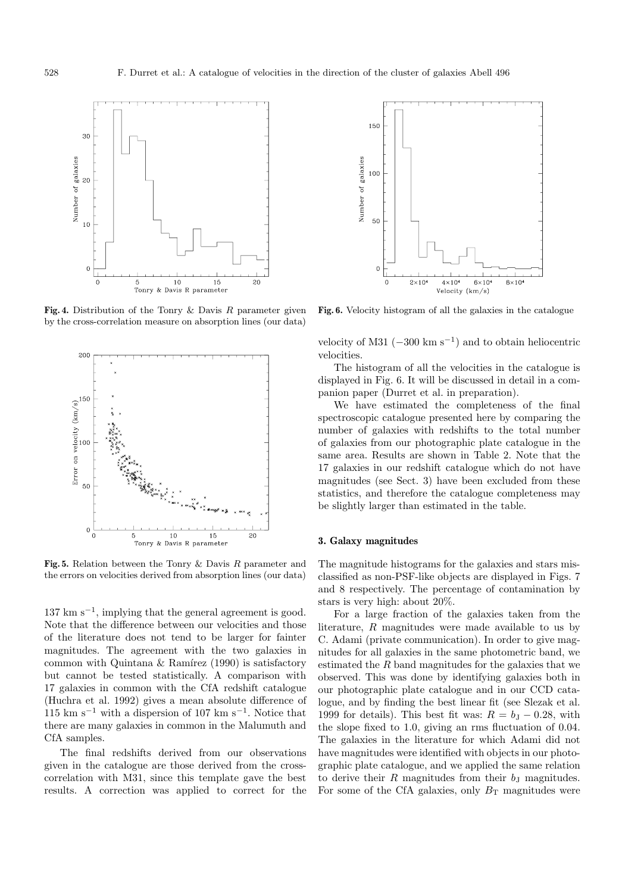

**Fig. 4.** Distribution of the Tonry & Davis R parameter given by the cross-correlation measure on absorption lines (our data)



**Fig. 5.** Relation between the Tonry & Davis R parameter and the errors on velocities derived from absorption lines (our data)

 $137 \text{ km s}^{-1}$ , implying that the general agreement is good. Note that the difference between our velocities and those of the literature does not tend to be larger for fainter magnitudes. The agreement with the two galaxies in common with Quintana  $\&$  Ramírez (1990) is satisfactory but cannot be tested statistically. A comparison with 17 galaxies in common with the CfA redshift catalogue (Huchra et al. 1992) gives a mean absolute difference of  $115 \text{ km s}^{-1}$  with a dispersion of 107 km s<sup>-1</sup>. Notice that there are many galaxies in common in the Malumuth and CfA samples.

The final redshifts derived from our observations given in the catalogue are those derived from the crosscorrelation with M31, since this template gave the best results. A correction was applied to correct for the



**Fig. 6.** Velocity histogram of all the galaxies in the catalogue

velocity of M31  $(-300 \text{ km s}^{-1})$  and to obtain heliocentric velocities.

The histogram of all the velocities in the catalogue is displayed in Fig. 6. It will be discussed in detail in a companion paper (Durret et al. in preparation).

We have estimated the completeness of the final spectroscopic catalogue presented here by comparing the number of galaxies with redshifts to the total number of galaxies from our photographic plate catalogue in the same area. Results are shown in Table 2. Note that the 17 galaxies in our redshift catalogue which do not have magnitudes (see Sect. 3) have been excluded from these statistics, and therefore the catalogue completeness may be slightly larger than estimated in the table.

## **3. Galaxy magnitudes**

The magnitude histograms for the galaxies and stars misclassified as non-PSF-like objects are displayed in Figs. 7 and 8 respectively. The percentage of contamination by stars is very high: about 20%.

For a large fraction of the galaxies taken from the literature, R magnitudes were made available to us by C. Adami (private communication). In order to give magnitudes for all galaxies in the same photometric band, we estimated the R band magnitudes for the galaxies that we observed. This was done by identifying galaxies both in our photographic plate catalogue and in our CCD catalogue, and by finding the best linear fit (see Slezak et al. 1999 for details). This best fit was:  $R = b<sub>J</sub> - 0.28$ , with the slope fixed to 1.0, giving an rms fluctuation of 0.04. The galaxies in the literature for which Adami did not have magnitudes were identified with objects in our photographic plate catalogue, and we applied the same relation to derive their  $R$  magnitudes from their  $b<sub>J</sub>$  magnitudes. For some of the CfA galaxies, only  $B_T$  magnitudes were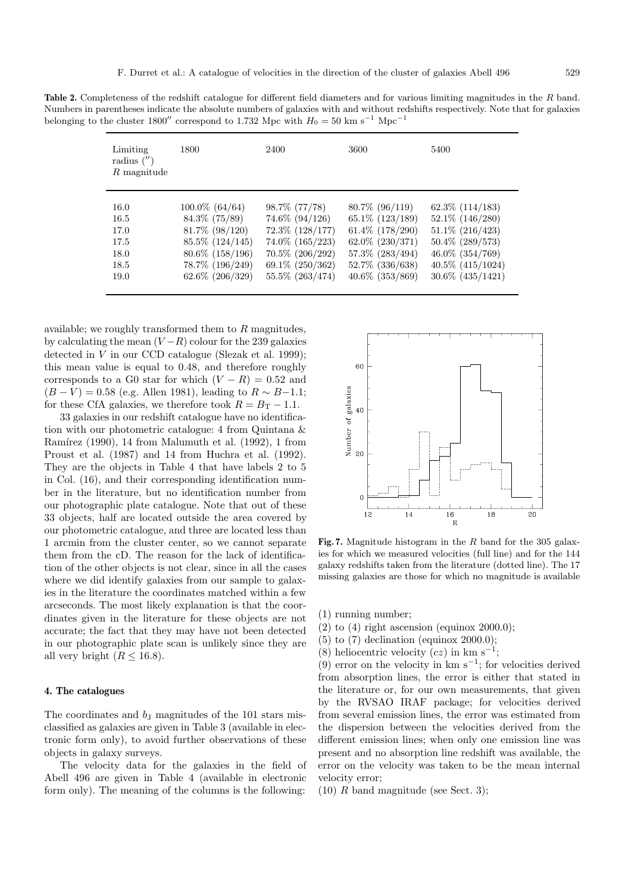**Table 2.** Completeness of the redshift catalogue for different field diameters and for various limiting magnitudes in the R band. Numbers in parentheses indicate the absolute numbers of galaxies with and without redshifts respectively. Note that for galaxies belonging to the cluster 1800" correspond to 1.732 Mpc with  $H_0 = 50 \text{ km s}^{-1} \text{ Mpc}^{-1}$ 

| Limiting<br>radius $('')$<br>R magnitude | 1800                 | 2400                 | 3600                 | 5400                  |
|------------------------------------------|----------------------|----------------------|----------------------|-----------------------|
| 16.0                                     | $100.0\%$ (64/64)    | 98.7\% (77/78)       | $80.7\%$ (96/119)    | $62.3\%$ $(114/183)$  |
| 16.5                                     | $84.3\%$ (75/89)     | 74.6\% (94/126)      | 65.1\% (123/189)     | $52.1\%$ $(146/280)$  |
| 17.0                                     | $81.7\%$ (98/120)    | $72.3\%$ $(128/177)$ | $61.4\%$ $(178/290)$ | $51.1\%$ (216/423)    |
| 17.5                                     | $85.5\%$ $(124/145)$ | 74.0\% (165/223)     | $62.0\%$ $(230/371)$ | 50.4% (289/573)       |
| 18.0                                     | $80.6\%$ (158/196)   | $70.5\%$ $(206/292)$ | $57.3\%$ $(283/494)$ | 46.0\% (354/769)      |
| 18.5                                     | 78.7% (196/249)      | $69.1\% (250/362)$   | 52.7% (336/638)      | $40.5\%$ $(415/1024)$ |
| 19.0                                     | $62.6\%$ $(206/329)$ | 55.5\% (263/474)     | $40.6\%$ $(353/869)$ | $30.6\%$ $(435/1421)$ |

available; we roughly transformed them to  $R$  magnitudes, by calculating the mean  $(V - R)$  colour for the 239 galaxies detected in  $V$  in our CCD catalogue (Slezak et al. 1999); this mean value is equal to 0.48, and therefore roughly corresponds to a G0 star for which  $(V - R) = 0.52$  and  $(B - V) = 0.58$  (e.g. Allen 1981), leading to  $R \sim B - 1.1$ ; for these CfA galaxies, we therefore took  $R = B_T - 1.1$ .

33 galaxies in our redshift catalogue have no identification with our photometric catalogue: 4 from Quintana & Ramírez (1990), 14 from Malumuth et al.  $(1992)$ , 1 from Proust et al. (1987) and 14 from Huchra et al. (1992). They are the objects in Table 4 that have labels 2 to 5 in Col. (16), and their corresponding identification number in the literature, but no identification number from our photographic plate catalogue. Note that out of these 33 objects, half are located outside the area covered by our photometric catalogue, and three are located less than 1 arcmin from the cluster center, so we cannot separate them from the cD. The reason for the lack of identification of the other objects is not clear, since in all the cases where we did identify galaxies from our sample to galaxies in the literature the coordinates matched within a few arcseconds. The most likely explanation is that the coordinates given in the literature for these objects are not accurate; the fact that they may have not been detected in our photographic plate scan is unlikely since they are all very bright  $(R \leq 16.8)$ .

## **4. The catalogues**

The coordinates and  $b<sub>J</sub>$  magnitudes of the 101 stars misclassified as galaxies are given in Table 3 (available in electronic form only), to avoid further observations of these objects in galaxy surveys.

The velocity data for the galaxies in the field of Abell 496 are given in Table 4 (available in electronic form only). The meaning of the columns is the following:



**Fig. 7.** Magnitude histogram in the R band for the 305 galaxies for which we measured velocities (full line) and for the 144 galaxy redshifts taken from the literature (dotted line). The 17 missing galaxies are those for which no magnitude is available

(1) running number;

- $(2)$  to  $(4)$  right ascension (equinox 2000.0);
- (5) to (7) declination (equinox 2000.0);
- (8) heliocentric velocity  $(cz)$  in km s<sup>-1</sup>;

(9) error on the velocity in km  $s^{-1}$ ; for velocities derived from absorption lines, the error is either that stated in the literature or, for our own measurements, that given by the RVSAO IRAF package; for velocities derived from several emission lines, the error was estimated from the dispersion between the velocities derived from the different emission lines; when only one emission line was present and no absorption line redshift was available, the error on the velocity was taken to be the mean internal velocity error;

 $(10)$  R band magnitude (see Sect. 3);